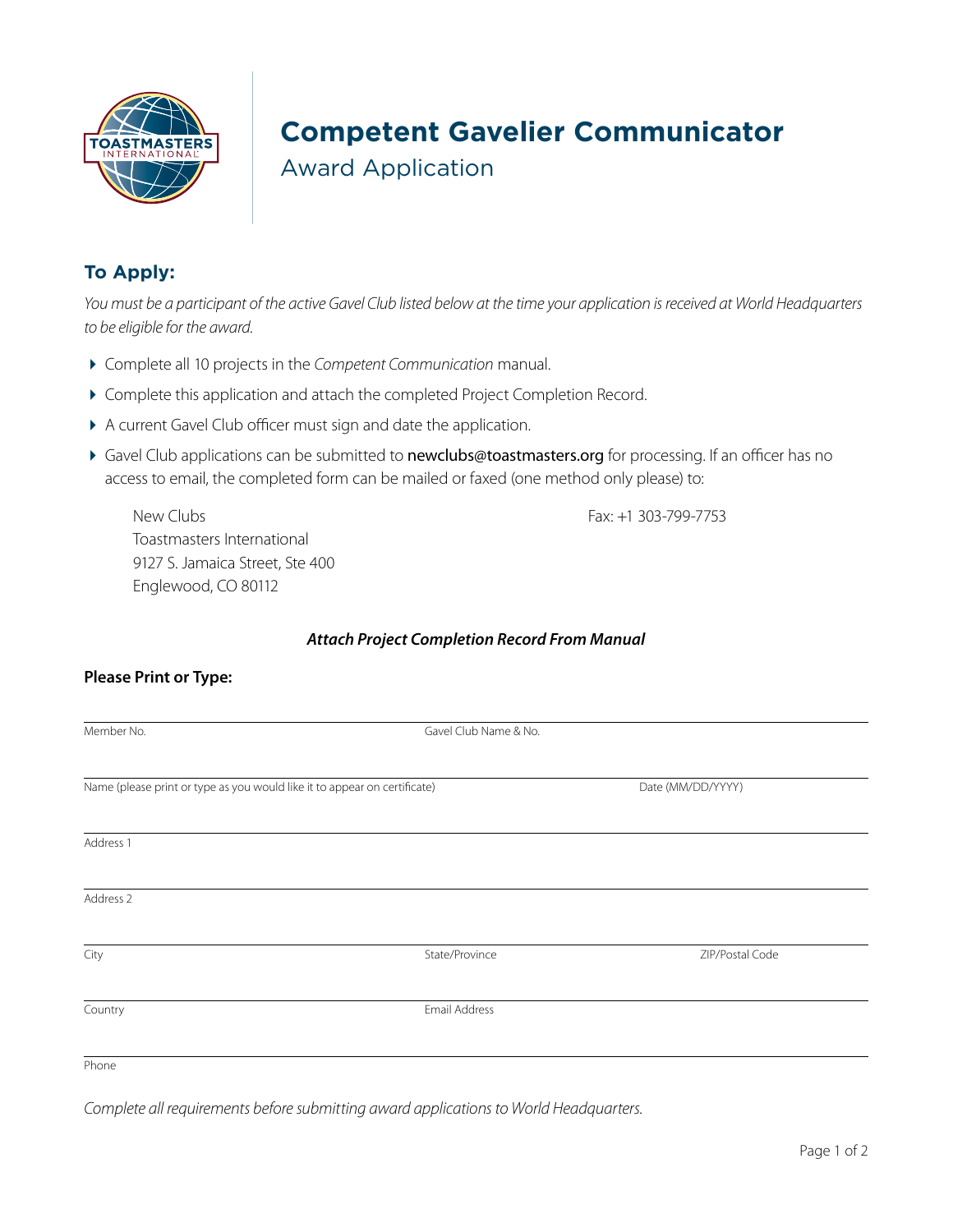

# **Competent Gavelier Communicator**

Award Application

## **To Apply:**

*You must be a participant of the active Gavel Club listed below at the time your application is received at World Headquarters to be eligible for the award.*

- Complete all 10 projects in the *Competent Communication* manual.
- Complete this application and attach the completed Project Completion Record.
- A current Gavel Club officer must sign and date the application.
- Gavel Club applications can be submitted to [newclubs@toastmasters.org](mailto:newclubs@toastmasters.org) for processing. If an officer has no access to email, the completed form can be mailed or faxed (one method only please) to:

| New Clubs                       |
|---------------------------------|
| Toastmasters International      |
| 9127 S. Jamaica Street, Ste 400 |
| Englewood, CO 80112             |

 $Fax: +1 303-799-7753$ 

#### *Attach Project Completion Record From Manual*

#### **Please Print or Type:**

| Member No.                                                                | Gavel Club Name & No. |                   |
|---------------------------------------------------------------------------|-----------------------|-------------------|
| Name (please print or type as you would like it to appear on certificate) |                       | Date (MM/DD/YYYY) |
| Address 1                                                                 |                       |                   |
| Address 2                                                                 |                       |                   |
| City                                                                      | State/Province        | ZIP/Postal Code   |
| Country                                                                   | Email Address         |                   |
| Phone                                                                     |                       |                   |

*Complete all requirements before submitting award applications to World Headquarters.*